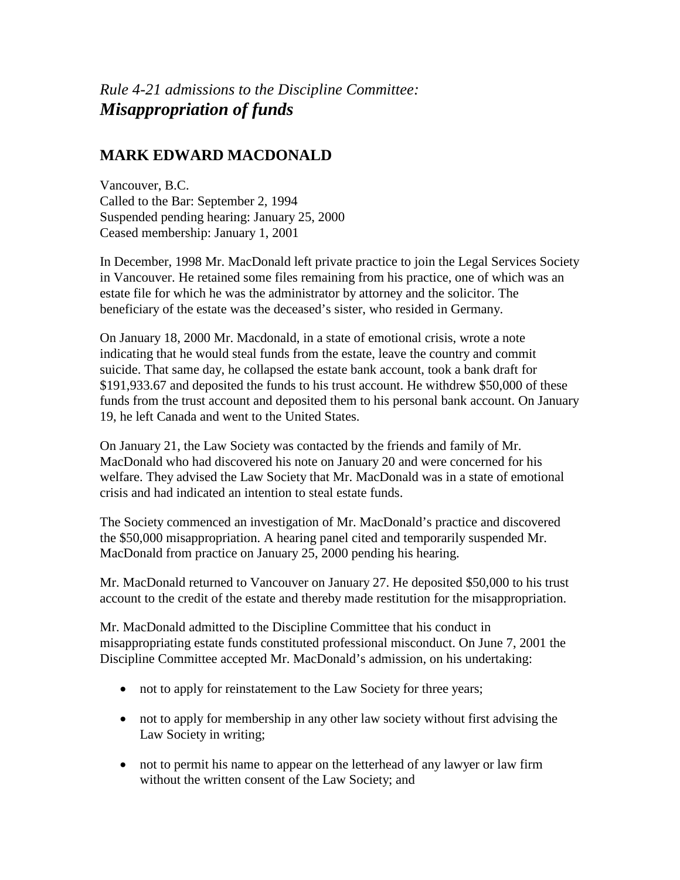*Rule 4-21 admissions to the Discipline Committee: Misappropriation of funds*

## **MARK EDWARD MACDONALD**

Vancouver, B.C. Called to the Bar: September 2, 1994 Suspended pending hearing: January 25, 2000 Ceased membership: January 1, 2001

In December, 1998 Mr. MacDonald left private practice to join the Legal Services Society in Vancouver. He retained some files remaining from his practice, one of which was an estate file for which he was the administrator by attorney and the solicitor. The beneficiary of the estate was the deceased's sister, who resided in Germany.

On January 18, 2000 Mr. Macdonald, in a state of emotional crisis, wrote a note indicating that he would steal funds from the estate, leave the country and commit suicide. That same day, he collapsed the estate bank account, took a bank draft for \$191,933.67 and deposited the funds to his trust account. He withdrew \$50,000 of these funds from the trust account and deposited them to his personal bank account. On January 19, he left Canada and went to the United States.

On January 21, the Law Society was contacted by the friends and family of Mr. MacDonald who had discovered his note on January 20 and were concerned for his welfare. They advised the Law Society that Mr. MacDonald was in a state of emotional crisis and had indicated an intention to steal estate funds.

The Society commenced an investigation of Mr. MacDonald's practice and discovered the \$50,000 misappropriation. A hearing panel cited and temporarily suspended Mr. MacDonald from practice on January 25, 2000 pending his hearing.

Mr. MacDonald returned to Vancouver on January 27. He deposited \$50,000 to his trust account to the credit of the estate and thereby made restitution for the misappropriation.

Mr. MacDonald admitted to the Discipline Committee that his conduct in misappropriating estate funds constituted professional misconduct. On June 7, 2001 the Discipline Committee accepted Mr. MacDonald's admission, on his undertaking:

- not to apply for reinstatement to the Law Society for three years;
- not to apply for membership in any other law society without first advising the Law Society in writing;
- not to permit his name to appear on the letterhead of any lawyer or law firm without the written consent of the Law Society; and